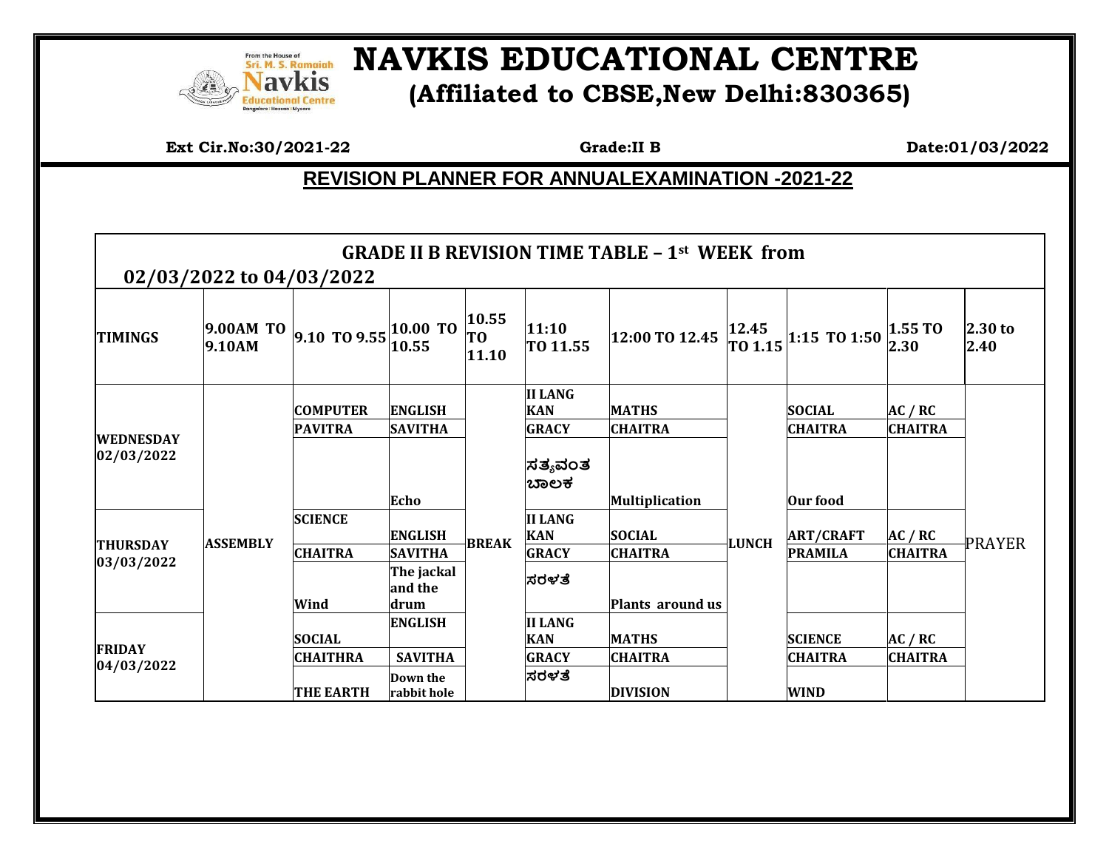

## **NAVKIS EDUCATIONAL CENTRE (Affiliated to CBSE,New Delhi:830365)**

**Ext Cir.No:30/2021-22 Grade:II B** Date:01/03/2022

## **REVISION PLANNER FOR ANNUALEXAMINATION -2021-22**

|                                | 02/03/2022 to 04/03/2022 |                                                    |                                                 |                      |                                              | <b>GRADE II B REVISION TIME TABLE - 1st WEEK from</b> |                  |                                  |                           |                 |
|--------------------------------|--------------------------|----------------------------------------------------|-------------------------------------------------|----------------------|----------------------------------------------|-------------------------------------------------------|------------------|----------------------------------|---------------------------|-----------------|
| <b>TIMINGS</b>                 | 9.00AM TO<br>9.10AM      | $\left 9.10\right $ TO $9.55\left 10.00\right $ TO | 10.55                                           | 10.55<br>TO<br>11.10 | 11:10<br>TO 11.55                            | 12:00 TO 12.45                                        | 12.45<br>TO 1.15 | 1:15 TO 1:50                     | 1.55T0<br>2.30            | 2.30 to<br>2.40 |
| <b>WEDNESDAY</b><br>02/03/2022 |                          | <b>COMPUTER</b>                                    | <b>ENGLISH</b>                                  |                      | <b>II LANG</b><br><b>KAN</b>                 | <b>MATHS</b>                                          | <b>LUNCH</b>     | <b>SOCIAL</b>                    | AC / RC                   |                 |
|                                |                          | <b>PAVITRA</b>                                     | <b>SAVITHA</b><br>Echo                          |                      | <b>GRACY</b><br> ಸತ್ಯವಂತ<br>ಬಾಲಕ             | <b>CHAITRA</b><br><b>Multiplication</b>               |                  | <b>CHAITRA</b><br>Our food       | <b>CHAITRA</b>            |                 |
| <b>THURSDAY</b><br> 03/03/2022 | <b>ASSEMBLY</b>          | <b>SCIENCE</b>                                     | <b>ENGLISH</b>                                  | <b>BREAK</b>         | <b>II LANG</b><br><b>KAN</b>                 | <b>SOCIAL</b>                                         |                  | <b>ART/CRAFT</b>                 | AC / RC                   | <b>PRAYER</b>   |
|                                |                          | <b>CHAITRA</b><br>Wind                             | <b>SAVITHA</b><br>The jackal<br>and the<br>drum |                      | <b>GRACY</b><br>ಸರಳತೆ                        | <b>CHAITRA</b><br>Plants around us                    |                  | <b>PRAMILA</b>                   | <b>CHAITRA</b>            |                 |
| <b>FRIDAY</b><br>04/03/2022    |                          | <b>SOCIAL</b><br><b>CHAITHRA</b>                   | <b>ENGLISH</b><br><b>SAVITHA</b>                |                      | <b>II LANG</b><br><b>KAN</b><br><b>GRACY</b> | <b>MATHS</b><br><b>CHAITRA</b>                        |                  | <b>SCIENCE</b><br><b>CHAITRA</b> | AC / RC<br><b>CHAITRA</b> |                 |
|                                |                          | <b>THE EARTH</b>                                   | Down the<br>rabbit hole                         |                      | ಸರಳತೆ                                        | <b>DIVISION</b>                                       |                  | <b>WIND</b>                      |                           |                 |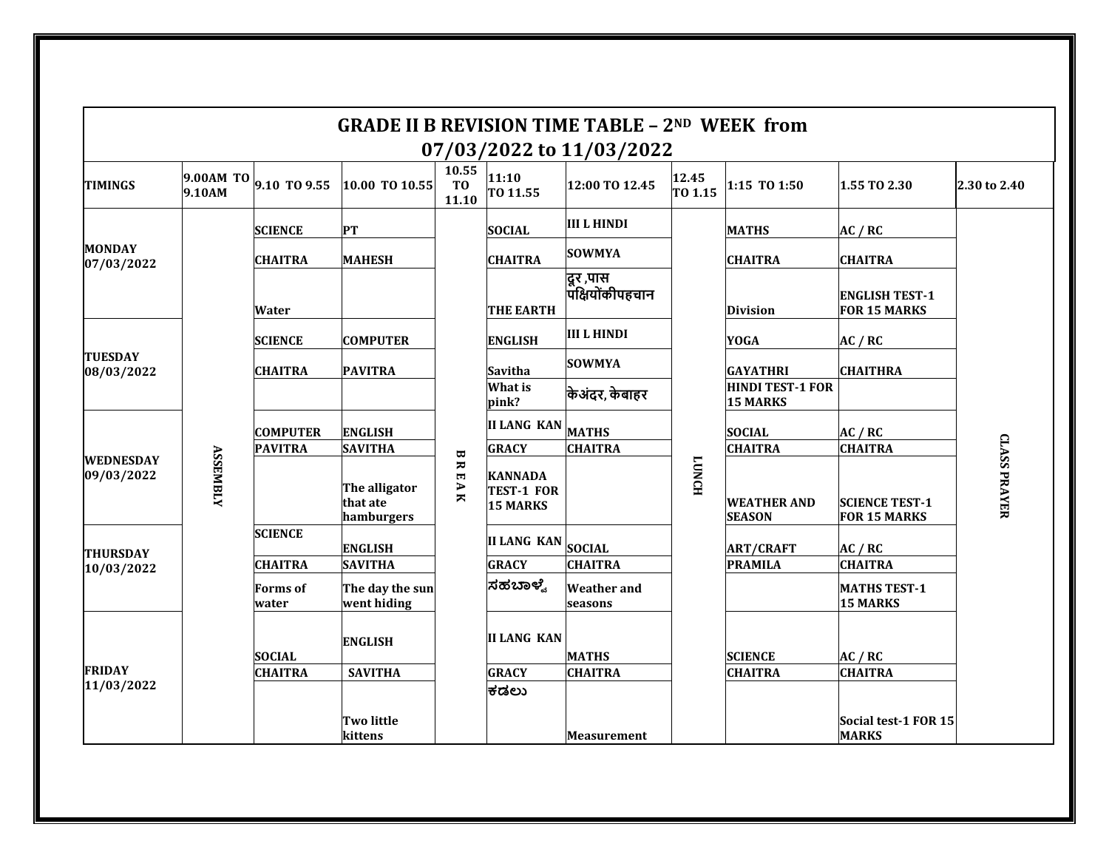|                                |                 |                        |                                         |                                                                     |                                                        | <b>GRADE II B REVISION TIME TABLE - 2ND WEEK from</b><br>07/03/2022 to 11/03/2022 |                  |                                     |                                              |                     |
|--------------------------------|-----------------|------------------------|-----------------------------------------|---------------------------------------------------------------------|--------------------------------------------------------|-----------------------------------------------------------------------------------|------------------|-------------------------------------|----------------------------------------------|---------------------|
| <b>TIMINGS</b>                 | 9.10AM          | 9.00AM TO 9.10 TO 9.55 | 10.00 TO 10.55                          | 10.55<br>T <sub>0</sub><br>11.10                                    | 11:10<br>TO 11.55                                      | 12:00 TO 12.45                                                                    | 12.45<br>TO 1.15 | 1:15 TO 1:50                        | 1.55 TO 2.30                                 | 2.30 to 2.40        |
| <b>MONDAY</b><br>07/03/2022    | <b>ASSEMBLY</b> | <b>SCIENCE</b>         | <b>PT</b>                               | $\pmb{\varpi}$<br>ᆽ<br>$\overline{\phantom{a}}$<br>$\overline{A}$ K | <b>SOCIAL</b>                                          | <b>III L HINDI</b>                                                                |                  | <b>MATHS</b>                        | AC / RC                                      |                     |
|                                |                 | <b>CHAITRA</b>         | <b>MAHESH</b>                           |                                                                     | <b>CHAITRA</b>                                         | <b>SOWMYA</b>                                                                     |                  | <b>CHAITRA</b>                      | <b>CHAITRA</b>                               |                     |
|                                |                 | Water                  |                                         |                                                                     | <b>THE EARTH</b>                                       | दूर ,पास<br>पक्षियोंकीपहचान                                                       |                  | <b>Division</b>                     | <b>ENGLISH TEST-1</b><br><b>FOR 15 MARKS</b> |                     |
| <b>TUESDAY</b><br>08/03/2022   |                 | <b>SCIENCE</b>         | <b>COMPUTER</b>                         |                                                                     | <b>ENGLISH</b>                                         | III L HINDI                                                                       |                  | <b>YOGA</b>                         | AC / RC                                      |                     |
|                                |                 | <b>CHAITRA</b>         | <b>PAVITRA</b>                          |                                                                     | <b>Savitha</b>                                         | <b>SOWMYA</b>                                                                     |                  | <b>GAYATHRI</b>                     | <b>CHAITHRA</b>                              |                     |
|                                |                 |                        |                                         |                                                                     | What is<br>pink?                                       | किअंदर, केबाहर                                                                    |                  | <b>HINDI TEST-1 FOR</b><br>15 MARKS |                                              |                     |
|                                |                 | <b>COMPUTER</b>        | <b>ENGLISH</b>                          |                                                                     | <b>II LANG KAN</b>                                     | <b>MATHS</b>                                                                      |                  | <b>SOCIAL</b>                       | AC / RC                                      |                     |
|                                |                 | <b>PAVITRA</b>         | <b>SAVITHA</b>                          |                                                                     | <b>GRACY</b>                                           | <b>CHAITRA</b>                                                                    |                  | <b>CHAITRA</b>                      | <b>CHAITRA</b>                               |                     |
| <b>WEDNESDAY</b><br>09/03/2022 |                 |                        | The alligator<br>that ate<br>hamburgers |                                                                     | <b>KANNADA</b><br><b>TEST-1 FOR</b><br><b>15 MARKS</b> |                                                                                   | <b>TONCH</b>     | <b>WEATHER AND</b><br><b>SEASON</b> | <b>SCIENCE TEST-1</b><br><b>FOR 15 MARKS</b> | <b>CLASS PRAYER</b> |
| <b>THURSDAY</b><br>10/03/2022  |                 | <b>SCIENCE</b>         | <b>ENGLISH</b>                          |                                                                     | II LANG KAN SOCIAL                                     |                                                                                   |                  | <b>ART/CRAFT</b>                    | AC / RC                                      |                     |
|                                |                 | <b>CHAITRA</b>         | <b>SAVITHA</b>                          |                                                                     | <b>GRACY</b>                                           | <b>CHAITRA</b>                                                                    |                  | <b>PRAMILA</b>                      | <b>CHAITRA</b>                               |                     |
|                                |                 | Forms of<br>water      | The day the sun<br>went hiding          |                                                                     | ಸಹಬಾಳ್ವೆ                                               | <b>Weather</b> and<br>seasons                                                     |                  |                                     | <b>MATHS TEST-1</b><br><b>15 MARKS</b>       |                     |
| <b>FRIDAY</b><br>11/03/2022    |                 | <b>SOCIAL</b>          | <b>ENGLISH</b>                          |                                                                     | <b>II LANG KAN</b>                                     | <b>MATHS</b>                                                                      |                  | <b>SCIENCE</b>                      | AC / RC                                      |                     |
|                                |                 | <b>CHAITRA</b>         | <b>SAVITHA</b>                          |                                                                     | <b>GRACY</b>                                           | <b>CHAITRA</b>                                                                    |                  | <b>CHAITRA</b>                      | <b>CHAITRA</b>                               |                     |
|                                |                 |                        |                                         |                                                                     | ಕಡಲು                                                   |                                                                                   |                  |                                     |                                              |                     |
|                                |                 |                        | <b>Two little</b><br>kittens            |                                                                     |                                                        | <b>Measurement</b>                                                                |                  |                                     | Social test-1 FOR 15<br><b>MARKS</b>         |                     |